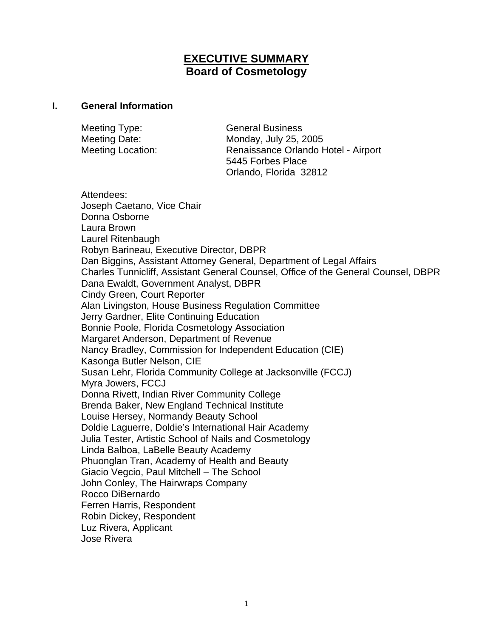# **EXECUTIVE SUMMARY Board of Cosmetology**

#### **I. General Information**

Meeting Type: General Business Meeting Date: Monday, July 25, 2005

Meeting Location: Renaissance Orlando Hotel - Airport 5445 Forbes Place Orlando, Florida 32812

Attendees: Joseph Caetano, Vice Chair Donna Osborne Laura Brown Laurel Ritenbaugh Robyn Barineau, Executive Director, DBPR Dan Biggins, Assistant Attorney General, Department of Legal Affairs Charles Tunnicliff, Assistant General Counsel, Office of the General Counsel, DBPR Dana Ewaldt, Government Analyst, DBPR Cindy Green, Court Reporter Alan Livingston, House Business Regulation Committee Jerry Gardner, Elite Continuing Education Bonnie Poole, Florida Cosmetology Association Margaret Anderson, Department of Revenue Nancy Bradley, Commission for Independent Education (CIE) Kasonga Butler Nelson, CIE Susan Lehr, Florida Community College at Jacksonville (FCCJ) Myra Jowers, FCCJ Donna Rivett, Indian River Community College Brenda Baker, New England Technical Institute Louise Hersey, Normandy Beauty School Doldie Laguerre, Doldie's International Hair Academy Julia Tester, Artistic School of Nails and Cosmetology Linda Balboa, LaBelle Beauty Academy Phuonglan Tran, Academy of Health and Beauty Giacio Vegcio, Paul Mitchell – The School John Conley, The Hairwraps Company Rocco DiBernardo Ferren Harris, Respondent Robin Dickey, Respondent Luz Rivera, Applicant Jose Rivera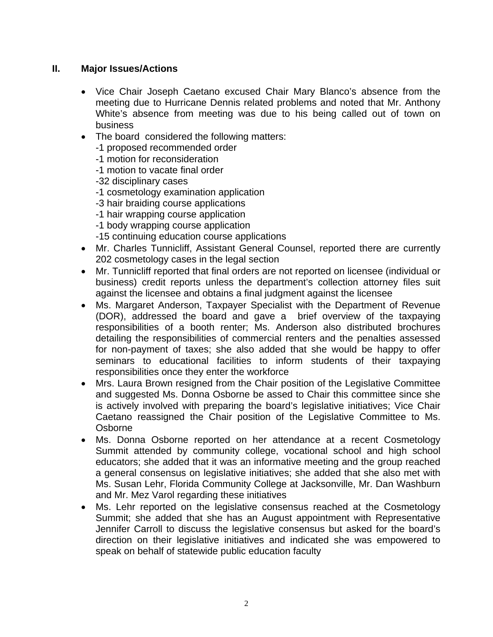### **II. Major Issues/Actions**

- Vice Chair Joseph Caetano excused Chair Mary Blanco's absence from the meeting due to Hurricane Dennis related problems and noted that Mr. Anthony White's absence from meeting was due to his being called out of town on business
- The board considered the following matters:
	- -1 proposed recommended order
	- -1 motion for reconsideration
	- -1 motion to vacate final order
	- -32 disciplinary cases
	- -1 cosmetology examination application
	- -3 hair braiding course applications
	- -1 hair wrapping course application
	- -1 body wrapping course application
	- -15 continuing education course applications
- Mr. Charles Tunnicliff, Assistant General Counsel, reported there are currently 202 cosmetology cases in the legal section
- Mr. Tunnicliff reported that final orders are not reported on licensee (individual or business) credit reports unless the department's collection attorney files suit against the licensee and obtains a final judgment against the licensee
- Ms. Margaret Anderson, Taxpayer Specialist with the Department of Revenue (DOR), addressed the board and gave a brief overview of the taxpaying responsibilities of a booth renter; Ms. Anderson also distributed brochures detailing the responsibilities of commercial renters and the penalties assessed for non-payment of taxes; she also added that she would be happy to offer seminars to educational facilities to inform students of their taxpaying responsibilities once they enter the workforce
- Mrs. Laura Brown resigned from the Chair position of the Legislative Committee and suggested Ms. Donna Osborne be assed to Chair this committee since she is actively involved with preparing the board's legislative initiatives; Vice Chair Caetano reassigned the Chair position of the Legislative Committee to Ms. Osborne
- Ms. Donna Osborne reported on her attendance at a recent Cosmetology Summit attended by community college, vocational school and high school educators; she added that it was an informative meeting and the group reached a general consensus on legislative initiatives; she added that she also met with Ms. Susan Lehr, Florida Community College at Jacksonville, Mr. Dan Washburn and Mr. Mez Varol regarding these initiatives
- Ms. Lehr reported on the legislative consensus reached at the Cosmetology Summit; she added that she has an August appointment with Representative Jennifer Carroll to discuss the legislative consensus but asked for the board's direction on their legislative initiatives and indicated she was empowered to speak on behalf of statewide public education faculty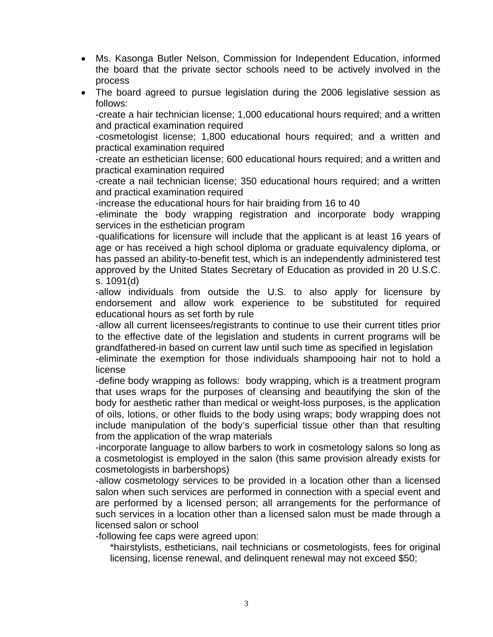- Ms. Kasonga Butler Nelson, Commission for Independent Education, informed the board that the private sector schools need to be actively involved in the process
- The board agreed to pursue legislation during the 2006 legislative session as follows:

-create a hair technician license; 1,000 educational hours required; and a written and practical examination required

-cosmetologist license; 1,800 educational hours required; and a written and practical examination required

-create an esthetician license; 600 educational hours required; and a written and practical examination required

-create a nail technician license; 350 educational hours required; and a written and practical examination required

-increase the educational hours for hair braiding from 16 to 40

-eliminate the body wrapping registration and incorporate body wrapping services in the esthetician program

-qualifications for licensure will include that the applicant is at least 16 years of age or has received a high school diploma or graduate equivalency diploma, or has passed an ability-to-benefit test, which is an independently administered test approved by the United States Secretary of Education as provided in 20 U.S.C. s. 1091(d)

-allow individuals from outside the U.S. to also apply for licensure by endorsement and allow work experience to be substituted for required educational hours as set forth by rule

-allow all current licensees/registrants to continue to use their current titles prior to the effective date of the legislation and students in current programs will be grandfathered-in based on current law until such time as specified in legislation

-eliminate the exemption for those individuals shampooing hair not to hold a license

-define body wrapping as follows: body wrapping, which is a treatment program that uses wraps for the purposes of cleansing and beautifying the skin of the body for aesthetic rather than medical or weight-loss purposes, is the application of oils, lotions, or other fluids to the body using wraps; body wrapping does not include manipulation of the body's superficial tissue other than that resulting from the application of the wrap materials

-incorporate language to allow barbers to work in cosmetology salons so long as a cosmetologist is employed in the salon (this same provision already exists for cosmetologists in barbershops)

-allow cosmetology services to be provided in a location other than a licensed salon when such services are performed in connection with a special event and are performed by a licensed person; all arrangements for the performance of such services in a location other than a licensed salon must be made through a licensed salon or school

-following fee caps were agreed upon:

\*hairstylists, estheticians, nail technicians or cosmetologists, fees for original licensing, license renewal, and delinquent renewal may not exceed \$50;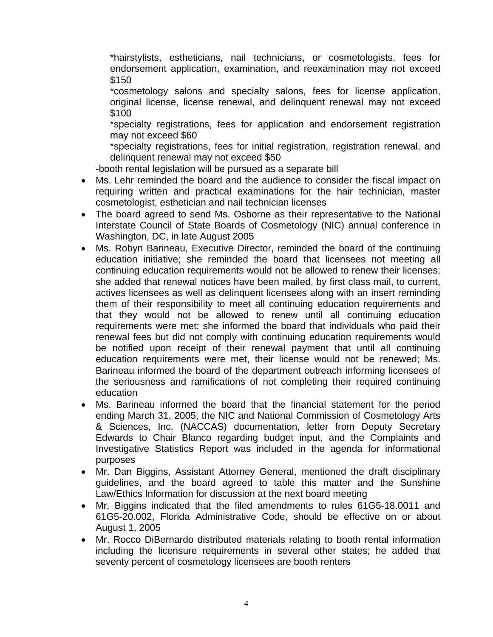\*hairstylists, estheticians, nail technicians, or cosmetologists, fees for endorsement application, examination, and reexamination may not exceed \$150

\*cosmetology salons and specialty salons, fees for license application, original license, license renewal, and delinquent renewal may not exceed \$100

\*specialty registrations, fees for application and endorsement registration may not exceed \$60

\*specialty registrations, fees for initial registration, registration renewal, and delinquent renewal may not exceed \$50

-booth rental legislation will be pursued as a separate bill

- Ms. Lehr reminded the board and the audience to consider the fiscal impact on requiring written and practical examinations for the hair technician, master cosmetologist, esthetician and nail technician licenses
- The board agreed to send Ms. Osborne as their representative to the National Interstate Council of State Boards of Cosmetology (NIC) annual conference in Washington, DC, in late August 2005
- Ms. Robyn Barineau, Executive Director, reminded the board of the continuing education initiative; she reminded the board that licensees not meeting all continuing education requirements would not be allowed to renew their licenses; she added that renewal notices have been mailed, by first class mail, to current, actives licensees as well as delinquent licensees along with an insert reminding them of their responsibility to meet all continuing education requirements and that they would not be allowed to renew until all continuing education requirements were met; she informed the board that individuals who paid their renewal fees but did not comply with continuing education requirements would be notified upon receipt of their renewal payment that until all continuing education requirements were met, their license would not be renewed; Ms. Barineau informed the board of the department outreach informing licensees of the seriousness and ramifications of not completing their required continuing education
- Ms. Barineau informed the board that the financial statement for the period ending March 31, 2005, the NIC and National Commission of Cosmetology Arts & Sciences, Inc. (NACCAS) documentation, letter from Deputy Secretary Edwards to Chair Blanco regarding budget input, and the Complaints and Investigative Statistics Report was included in the agenda for informational purposes
- Mr. Dan Biggins, Assistant Attorney General, mentioned the draft disciplinary guidelines, and the board agreed to table this matter and the Sunshine Law/Ethics Information for discussion at the next board meeting
- Mr. Biggins indicated that the filed amendments to rules 61G5-18.0011 and 61G5-20.002, Florida Administrative Code, should be effective on or about August 1, 2005
- Mr. Rocco DiBernardo distributed materials relating to booth rental information including the licensure requirements in several other states; he added that seventy percent of cosmetology licensees are booth renters